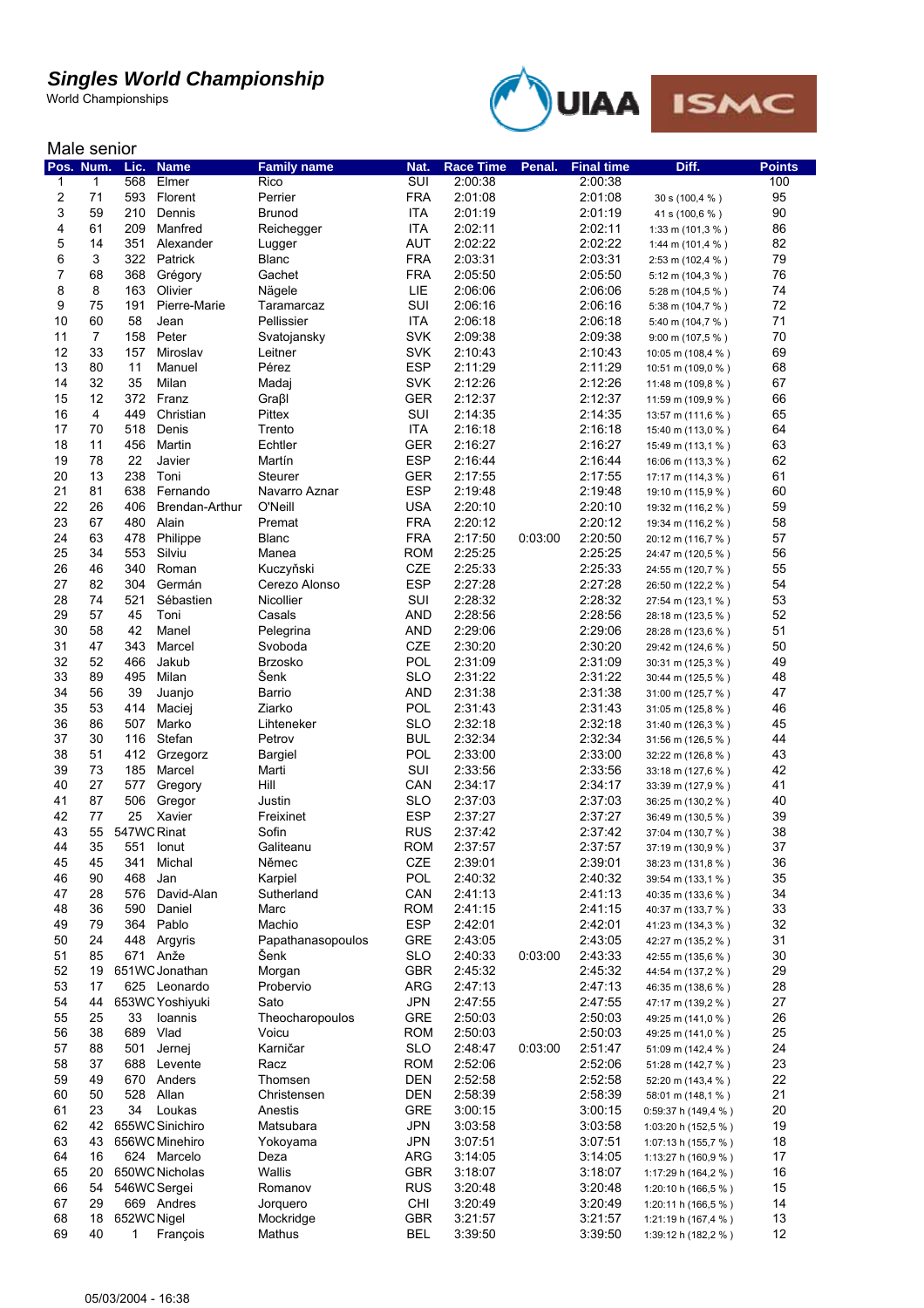World Championships



#### Male senior

| Pos. Num.        |                | Lic.        | <b>Name</b>     | <b>Family name</b> | Nat.       | <b>Race Time</b> | Penal.  | <b>Final time</b>  | Diff.                                  | <b>Points</b> |
|------------------|----------------|-------------|-----------------|--------------------|------------|------------------|---------|--------------------|----------------------------------------|---------------|
| 1                | 1              | 568         | Elmer           | Rico               | SUI        | 2:00:38          |         | 2:00:38            |                                        | 100           |
| $\boldsymbol{2}$ | 71             | 593         | Florent         | Perrier            | <b>FRA</b> | 2:01:08          |         | 2:01:08            | 30 s (100,4 %)                         | 95            |
| 3                | 59             | 210         | Dennis          | <b>Brunod</b>      | <b>ITA</b> | 2:01:19          |         | 2:01:19            | 41 s (100,6 %)                         | 90            |
| 4                | 61             | 209         | Manfred         | Reichegger         | ITA        | 2:02:11          |         | 2:02:11            | 1:33 m (101,3 %)                       | 86            |
| 5                | 14             | 351         | Alexander       | Lugger             | <b>AUT</b> | 2:02:22          |         | 2:02:22            | 1:44 m (101,4 %)                       | 82            |
| 6                | 3              | 322         | Patrick         | <b>Blanc</b>       | <b>FRA</b> | 2:03:31          |         | 2:03:31            | 2:53 m (102,4 %)                       | 79            |
| 7                | 68             | 368         | Grégory         | Gachet             | <b>FRA</b> | 2:05:50          |         | 2:05:50            | 5:12 m (104,3 %)                       | 76            |
| 8                | 8              | 163         | Olivier         | Nägele             | LIE        | 2:06:06          |         | 2:06:06            | 5:28 m (104,5 %)                       | 74            |
| 9                | 75             | 191         | Pierre-Marie    | Taramarcaz         | SUI        | 2:06:16          |         | 2:06:16            | 5:38 m (104,7 %)                       | 72            |
| 10               | 60             | 58          | Jean            | Pellissier         | ITA        | 2:06:18          |         | 2:06:18            | 5:40 m (104,7 %)                       | 71            |
| 11               | $\overline{7}$ | 158         | Peter           | Svatojansky        | <b>SVK</b> | 2:09:38          |         | 2:09:38            | 9:00 m (107,5 %)                       | 70            |
| 12               | 33             | 157         | Miroslav        | Leitner            | <b>SVK</b> | 2:10:43          |         | 2:10:43            | 10:05 m (108,4 %)                      | 69            |
| 13               | 80             | 11          | Manuel          | Pérez              | <b>ESP</b> | 2:11:29          |         | 2:11:29            | 10:51 m (109,0 %)                      | 68            |
| 14               | 32             | 35          | Milan           | Madaj              | <b>SVK</b> | 2:12:26          |         | 2:12:26            | 11:48 m (109,8 %)                      | 67            |
| 15               | 12             | 372         | Franz           | Graßl              | <b>GER</b> | 2:12:37          |         | 2:12:37            | 11:59 m (109,9 %)                      | 66            |
| 16               | 4              | 449         | Christian       | Pittex             | SUI        | 2:14:35          |         | 2:14:35            |                                        | 65            |
| 17               | 70             | 518         | Denis           | Trento             | <b>ITA</b> | 2:16:18          |         | 2:16:18            | 13:57 m (111,6 %)<br>15:40 m (113,0 %) | 64            |
| 18               | 11             | 456         | Martin          | Echtler            | <b>GER</b> | 2:16:27          |         | 2:16:27            |                                        | 63            |
|                  | 78             | 22          |                 |                    | <b>ESP</b> |                  |         |                    | 15:49 m (113,1 %)                      | 62            |
| 19<br>20         | 13             | 238         | Javier          | Martín             |            | 2:16:44          |         | 2:16:44<br>2:17:55 | 16:06 m (113,3 %)                      |               |
|                  |                |             | Toni            | Steurer            | GER        | 2:17:55          |         |                    | 17:17 m (114,3 %)                      | 61            |
| 21               | 81             | 638         | Fernando        | Navarro Aznar      | <b>ESP</b> | 2:19:48          |         | 2:19:48            | 19:10 m (115,9 %)                      | 60            |
| 22               | 26             | 406         | Brendan-Arthur  | O'Neill            | <b>USA</b> | 2:20:10          |         | 2:20:10            | 19:32 m (116,2 %)                      | 59            |
| 23               | 67             | 480         | Alain           | Premat             | <b>FRA</b> | 2:20:12          |         | 2:20:12            | 19:34 m (116,2 %)                      | 58            |
| 24               | 63             | 478         | Philippe        | <b>Blanc</b>       | <b>FRA</b> | 2:17:50          | 0:03:00 | 2:20:50            | 20:12 m (116,7 %)                      | 57            |
| 25               | 34             | 553         | Silviu          | Manea              | <b>ROM</b> | 2:25:25          |         | 2:25:25            | 24:47 m (120,5 %)                      | 56            |
| 26               | 46             | 340         | Roman           | Kuczyňski          | <b>CZE</b> | 2:25:33          |         | 2:25:33            | 24:55 m (120,7 %)                      | 55            |
| 27               | 82             | 304         | Germán          | Cerezo Alonso      | <b>ESP</b> | 2:27:28          |         | 2:27:28            | 26:50 m (122,2 %)                      | 54            |
| 28               | 74             | 521         | Sébastien       | <b>Nicollier</b>   | SUI        | 2:28:32          |         | 2:28:32            | 27:54 m (123,1 %)                      | 53            |
| 29               | 57             | 45          | Toni            | Casals             | AND        | 2:28:56          |         | 2:28:56            | 28:18 m (123,5 %)                      | 52            |
| 30               | 58             | 42          | Manel           | Pelegrina          | AND        | 2:29:06          |         | 2:29:06            | 28:28 m (123,6 %)                      | 51            |
| 31               | 47             | 343         | Marcel          | Svoboda            | <b>CZE</b> | 2:30:20          |         | 2:30:20            | 29:42 m (124,6 %)                      | 50            |
| 32               | 52             | 466         | Jakub           | <b>Brzosko</b>     | POL        | 2:31:09          |         | 2:31:09            | 30:31 m (125,3 %)                      | 49            |
| 33               | 89             | 495         | Milan           | Šenk               | <b>SLO</b> | 2:31:22          |         | 2:31:22            | 30:44 m (125,5 %)                      | 48            |
| 34               | 56             | 39          | Juanjo          | Barrio             | <b>AND</b> | 2:31:38          |         | 2:31:38            | 31:00 m (125,7 %)                      | 47            |
| 35               | 53             | 414         | Maciej          | Ziarko             | POL        | 2:31:43          |         | 2:31:43            | 31:05 m (125,8 %)                      | 46            |
| 36               | 86             | 507         | Marko           | Lihteneker         | <b>SLO</b> | 2:32:18          |         | 2:32:18            | 31:40 m (126,3 %)                      | 45            |
| 37               | 30             | 116         | Stefan          | Petrov             | <b>BUL</b> | 2:32:34          |         | 2:32:34            | 31:56 m (126,5 %)                      | 44            |
| 38               | 51             | 412         | Grzegorz        | Bargiel            | POL        | 2:33:00          |         | 2:33:00            | 32:22 m (126,8 %)                      | 43            |
| 39               | 73             | 185         | Marcel          | Marti              | SUI        | 2:33:56          |         | 2:33:56            | 33:18 m (127,6 %)                      | 42            |
| 40               | 27             | 577         | Gregory         | Hill               | CAN        | 2:34:17          |         | 2:34:17            |                                        | 41            |
| 41               | 87             | 506         | Gregor          | Justin             | <b>SLO</b> | 2:37:03          |         | 2:37:03            | 33:39 m (127,9 %)                      | 40            |
| 42               | 77             | 25          | Xavier          | Freixinet          | <b>ESP</b> | 2:37:27          |         | 2:37:27            | 36:25 m (130,2 %)                      | 39            |
| 43               |                |             |                 |                    |            |                  |         |                    | 36:49 m (130,5 %)                      | 38            |
|                  | 55             | 547WC Rinat |                 | Sofin              | <b>RUS</b> | 2:37:42          |         | 2:37:42            | 37:04 m (130,7 %)                      |               |
| 44               | 35             |             | 551 Ionut       | Galiteanu          | <b>ROM</b> | 2:37:57          |         | 2:37:57            | 37:19 m (130,9 %)                      | 37            |
| 45               | 45             | 341         | Michal          | Němec              | CZE        | 2:39:01          |         | 2:39:01            | 38:23 m (131,8 %)                      | 36            |
| 46               | 90             | 468         | Jan             | Karpiel            | POL        | 2:40:32          |         | 2:40:32            | 39:54 m (133,1 %)                      | 35            |
| 47               | 28             | 576         | David-Alan      | Sutherland         | CAN        | 2:41:13          |         | 2:41:13            | 40:35 m (133,6 %)                      | 34            |
| 48               | 36             | 590         | Daniel          | Marc               | <b>ROM</b> | 2:41:15          |         | 2:41:15            | 40:37 m (133,7 %)                      | 33            |
| 49               | 79             | 364         | Pablo           | Machio             | <b>ESP</b> | 2:42:01          |         | 2:42:01            | 41:23 m (134,3 %)                      | 32            |
| 50               | 24             | 448         | Argyris         | Papathanasopoulos  | <b>GRE</b> | 2:43:05          |         | 2:43:05            | 42:27 m (135,2 %)                      | 31            |
| 51               | 85             |             | 671 Anže        | Senk               | <b>SLO</b> | 2:40:33          | 0:03:00 | 2:43:33            | 42:55 m (135,6 %)                      | 30            |
| 52               | 19             |             | 651WC Jonathan  | Morgan             | <b>GBR</b> | 2:45:32          |         | 2:45:32            | 44:54 m (137,2 %)                      | 29            |
| 53               | 17             |             | 625 Leonardo    | Probervio          | <b>ARG</b> | 2:47:13          |         | 2:47:13            | 46:35 m (138,6 %)                      | 28            |
| 54               | 44             |             | 653WC Yoshiyuki | Sato               | <b>JPN</b> | 2:47:55          |         | 2:47:55            | 47:17 m (139,2 %)                      | 27            |
| 55               | 25             | 33          | Ioannis         | Theocharopoulos    | <b>GRE</b> | 2:50:03          |         | 2:50:03            | 49:25 m (141,0 %)                      | 26            |
| 56               | 38             | 689         | Vlad            | Voicu              | <b>ROM</b> | 2:50:03          |         | 2:50:03            | 49:25 m (141,0 %)                      | 25            |
| 57               | 88             | 501         | Jernej          | Karničar           | <b>SLO</b> | 2:48:47          | 0:03:00 | 2:51:47            | 51:09 m (142,4 %)                      | 24            |
| 58               | 37             | 688         | Levente         | Racz               | <b>ROM</b> | 2:52:06          |         | 2:52:06            | 51:28 m (142,7 %)                      | 23            |
| 59               | 49             | 670         | Anders          | Thomsen            | <b>DEN</b> | 2:52:58          |         | 2:52:58            | 52:20 m (143,4 %)                      | 22            |
| 60               | 50             | 528         | Allan           | Christensen        | <b>DEN</b> | 2:58:39          |         | 2:58:39            | 58:01 m (148,1 %)                      | 21            |
| 61               | 23             | 34          | Loukas          | Anestis            | <b>GRE</b> | 3:00:15          |         | 3:00:15            | 0:59:37 h (149,4 %)                    | 20            |
| 62               | 42             |             | 655WC Sinichiro | Matsubara          | <b>JPN</b> | 3:03:58          |         | 3:03:58            | 1:03:20 h (152,5 %)                    | 19            |
| 63               | 43             |             | 656WC Minehiro  | Yokoyama           | <b>JPN</b> | 3:07:51          |         | 3:07:51            | 1:07:13 h (155,7 %)                    | 18            |
| 64               | 16             |             | 624 Marcelo     | Deza               | <b>ARG</b> | 3:14:05          |         | 3:14:05            | 1:13:27 h (160,9 %)                    | 17            |
| 65               | 20             |             | 650WC Nicholas  | Wallis             | <b>GBR</b> | 3:18:07          |         | 3:18:07            | 1:17:29 h (164,2 %)                    | 16            |
| 66               | 54             |             | 546WC Sergei    | Romanov            | <b>RUS</b> | 3:20:48          |         | 3:20:48            | 1:20:10 h (166,5 %)                    | 15            |
| 67               | 29             |             | 669 Andres      | Jorquero           | CHI        | 3:20:49          |         | 3:20:49            |                                        | 14            |
| 68               | 18             | 652WC Nigel |                 |                    | <b>GBR</b> | 3:21:57          |         | 3:21:57            | 1:20:11 h (166,5 %)                    | 13            |
|                  |                |             |                 | Mockridge          |            |                  |         |                    | 1:21:19 h (167,4 %)                    |               |
| 69               | 40             | 1           | François        | Mathus             | <b>BEL</b> | 3:39:50          |         | 3:39:50            | 1:39:12 h (182,2 %)                    | 12            |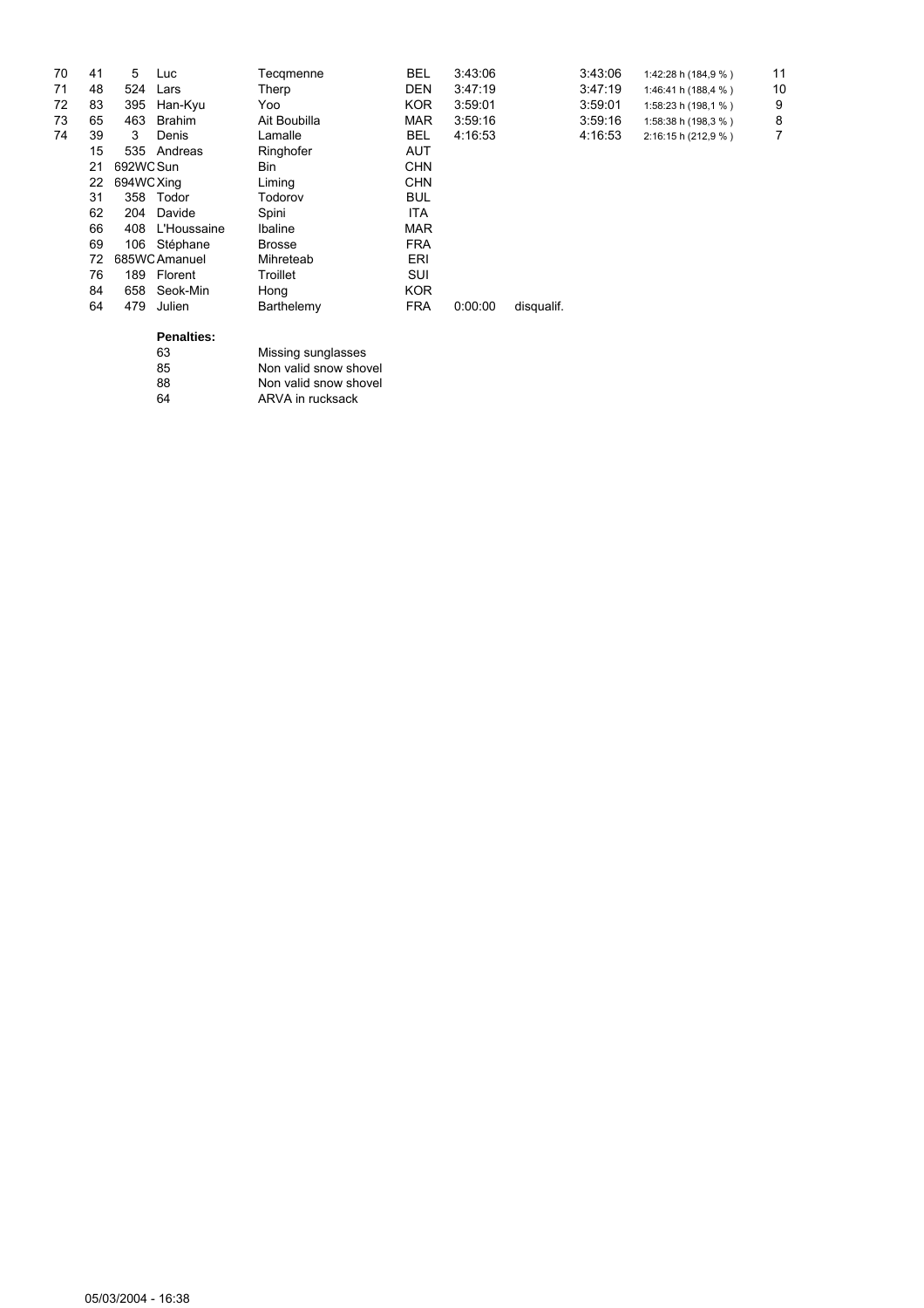| 70 | 41 | 5          | Luc               | Tecgmenne             | <b>BEL</b> | 3:43:06 |            | 3:43:06 | 1:42:28 h (184,9 %) | 11 |
|----|----|------------|-------------------|-----------------------|------------|---------|------------|---------|---------------------|----|
| 71 | 48 | 524        | Lars              | Therp                 | <b>DEN</b> | 3:47:19 |            | 3:47:19 | 1:46:41 h (188,4 %) | 10 |
| 72 | 83 | 395        | Han-Kyu           | Yoo                   | KOR.       | 3:59:01 |            | 3:59:01 | 1:58:23 h (198,1 %) | 9  |
| 73 | 65 | 463        | <b>Brahim</b>     | Ait Boubilla          | <b>MAR</b> | 3:59:16 |            | 3:59:16 | 1:58:38 h (198,3 %) | 8  |
| 74 | 39 | 3          | Denis             | Lamalle               | <b>BEL</b> | 4:16:53 |            | 4:16:53 | 2:16:15 h (212,9 %) | 7  |
|    | 15 | 535        | Andreas           | Ringhofer             | AUT        |         |            |         |                     |    |
|    | 21 | 692WC Sun  |                   | Bin                   | <b>CHN</b> |         |            |         |                     |    |
|    | 22 | 694WC Xing |                   | Liming                | <b>CHN</b> |         |            |         |                     |    |
|    | 31 | 358        | Todor             | Todorov               | <b>BUL</b> |         |            |         |                     |    |
|    | 62 | 204        | Davide            | Spini                 | ITA        |         |            |         |                     |    |
|    | 66 | 408        | L'Houssaine       | Ibaline               | <b>MAR</b> |         |            |         |                     |    |
|    | 69 | 106        | Stéphane          | <b>Brosse</b>         | <b>FRA</b> |         |            |         |                     |    |
|    | 72 |            | 685WC Amanuel     | Mihreteab             | ERI        |         |            |         |                     |    |
|    | 76 | 189        | Florent           | Troillet              | <b>SUI</b> |         |            |         |                     |    |
|    | 84 | 658        | Seok-Min          | Hong                  | <b>KOR</b> |         |            |         |                     |    |
|    | 64 | 479        | Julien            | Barthelemy            | <b>FRA</b> | 0:00:00 | disqualif. |         |                     |    |
|    |    |            | <b>Penalties:</b> |                       |            |         |            |         |                     |    |
|    |    |            | 63                | Missing sunglasses    |            |         |            |         |                     |    |
|    |    |            | 85                | Non valid snow shovel |            |         |            |         |                     |    |
|    |    |            | 88                | Non valid snow shovel |            |         |            |         |                     |    |
|    |    |            | 64                | ARVA in rucksack      |            |         |            |         |                     |    |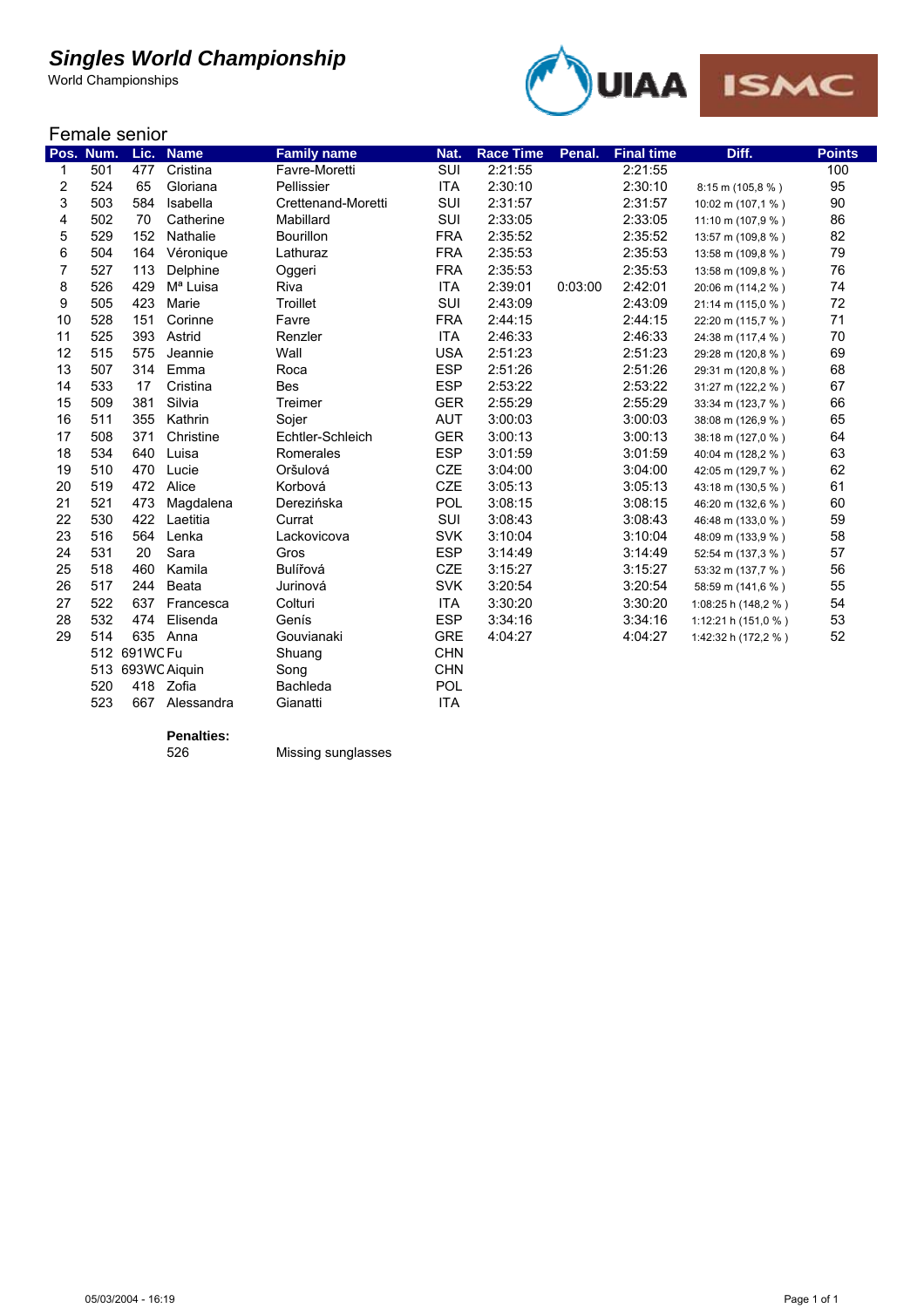World Championships



| Female senior |  |  |
|---------------|--|--|
|               |  |  |

|                | Pos. Num. | Lic.         | <b>Name</b>          | <b>Family name</b> | Nat.       | <b>Race Time</b> | Penal.  | <b>Final time</b> | Diff.               | <b>Points</b> |
|----------------|-----------|--------------|----------------------|--------------------|------------|------------------|---------|-------------------|---------------------|---------------|
| 1              | 501       | 477          | Cristina             | Favre-Moretti      | SUI        | 2:21:55          |         | 2:21:55           |                     | 100           |
| 2              | 524       | 65           | Gloriana             | Pellissier         | <b>ITA</b> | 2:30:10          |         | 2:30:10           | 8:15 m (105,8 %)    | 95            |
| 3              | 503       | 584          | Isabella             | Crettenand-Moretti | SUI        | 2:31:57          |         | 2:31:57           | 10:02 m (107,1 %)   | 90            |
| 4              | 502       | 70           | Catherine            | Mabillard          | SUI        | 2:33:05          |         | 2:33:05           | 11:10 m (107,9 %)   | 86            |
| 5              | 529       | 152          | Nathalie             | <b>Bourillon</b>   | <b>FRA</b> | 2:35:52          |         | 2:35:52           | 13:57 m (109,8 %)   | 82            |
| 6              | 504       | 164          | Véronique            | Lathuraz           | <b>FRA</b> | 2:35:53          |         | 2:35:53           | 13:58 m (109,8 %)   | 79            |
| $\overline{7}$ | 527       | 113          | Delphine             | Oggeri             | <b>FRA</b> | 2:35:53          |         | 2:35:53           | 13:58 m (109,8 %)   | 76            |
| 8              | 526       | 429          | M <sup>a</sup> Luisa | Riva               | <b>ITA</b> | 2:39:01          | 0:03:00 | 2:42:01           | 20:06 m (114,2 %)   | 74            |
| 9              | 505       | 423          | Marie                | Troillet           | SUI        | 2:43:09          |         | 2:43:09           | 21:14 m (115,0 %)   | 72            |
| 10             | 528       | 151          | Corinne              | Favre              | <b>FRA</b> | 2:44:15          |         | 2:44:15           | 22:20 m (115,7 %)   | 71            |
| 11             | 525       | 393          | Astrid               | Renzler            | <b>ITA</b> | 2:46:33          |         | 2:46:33           | 24:38 m (117,4 %)   | 70            |
| 12             | 515       | 575          | Jeannie              | Wall               | <b>USA</b> | 2:51:23          |         | 2:51:23           | 29:28 m (120,8 %)   | 69            |
| 13             | 507       | 314          | Emma                 | Roca               | <b>ESP</b> | 2:51:26          |         | 2:51:26           | 29:31 m (120,8 %)   | 68            |
| 14             | 533       | 17           | Cristina             | <b>Bes</b>         | <b>ESP</b> | 2:53:22          |         | 2:53:22           | 31:27 m (122,2 %)   | 67            |
| 15             | 509       | 381          | Silvia               | Treimer            | <b>GER</b> | 2:55:29          |         | 2:55:29           | 33:34 m (123,7 %)   | 66            |
| 16             | 511       | 355          | Kathrin              | Sojer              | <b>AUT</b> | 3:00:03          |         | 3:00:03           | 38:08 m (126,9 %)   | 65            |
| 17             | 508       | 371          | Christine            | Echtler-Schleich   | <b>GER</b> | 3:00:13          |         | 3:00:13           | 38:18 m (127,0 %)   | 64            |
| 18             | 534       | 640          | Luisa                | Romerales          | <b>ESP</b> | 3:01:59          |         | 3:01:59           | 40:04 m (128,2 %)   | 63            |
| 19             | 510       | 470          | Lucie                | Oršulová           | <b>CZE</b> | 3:04:00          |         | 3:04:00           | 42:05 m (129,7 %)   | 62            |
| 20             | 519       | 472          | Alice                | Korbová            | <b>CZE</b> | 3:05:13          |         | 3:05:13           | 43:18 m (130,5 %)   | 61            |
| 21             | 521       | 473          | Magdalena            | Derezińska         | POL        | 3:08:15          |         | 3:08:15           | 46:20 m (132,6 %)   | 60            |
| 22             | 530       | 422          | Laetitia             | Currat             | <b>SUI</b> | 3:08:43          |         | 3:08:43           | 46:48 m (133,0 %)   | 59            |
| 23             | 516       | 564          | Lenka                | Lackovicova        | <b>SVK</b> | 3:10:04          |         | 3:10:04           | 48:09 m (133,9 %)   | 58            |
| 24             | 531       | 20           | Sara                 | Gros               | <b>ESP</b> | 3:14:49          |         | 3:14:49           | 52:54 m (137,3 %)   | 57            |
| 25             | 518       | 460          | Kamila               | Bulířová           | <b>CZE</b> | 3:15:27          |         | 3:15:27           | 53:32 m (137,7 %)   | 56            |
| 26             | 517       | 244          | Beata                | Jurinová           | <b>SVK</b> | 3:20:54          |         | 3:20:54           | 58:59 m (141,6 %)   | 55            |
| 27             | 522       | 637          | Francesca            | Colturi            | <b>ITA</b> | 3:30:20          |         | 3:30:20           | 1:08:25 h (148,2 %) | 54            |
| 28             | 532       | 474          | Elisenda             | Genís              | <b>ESP</b> | 3:34:16          |         | 3:34:16           | 1:12:21 h (151,0 %) | 53            |
| 29             | 514       |              | 635 Anna             | Gouvianaki         | <b>GRE</b> | 4:04:27          |         | 4:04:27           | 1:42:32 h (172,2 %) | 52            |
|                |           | 512 691WC Fu |                      | Shuang             | <b>CHN</b> |                  |         |                   |                     |               |
|                | 513       |              | 693WC Aiquin         | Song               | <b>CHN</b> |                  |         |                   |                     |               |
|                | 520       | 418          | Zofia                | Bachleda           | POL        |                  |         |                   |                     |               |
|                | 523       |              | 667 Alessandra       | Gianatti           | <b>ITA</b> |                  |         |                   |                     |               |

**Penalties:**

526 Missing sunglasses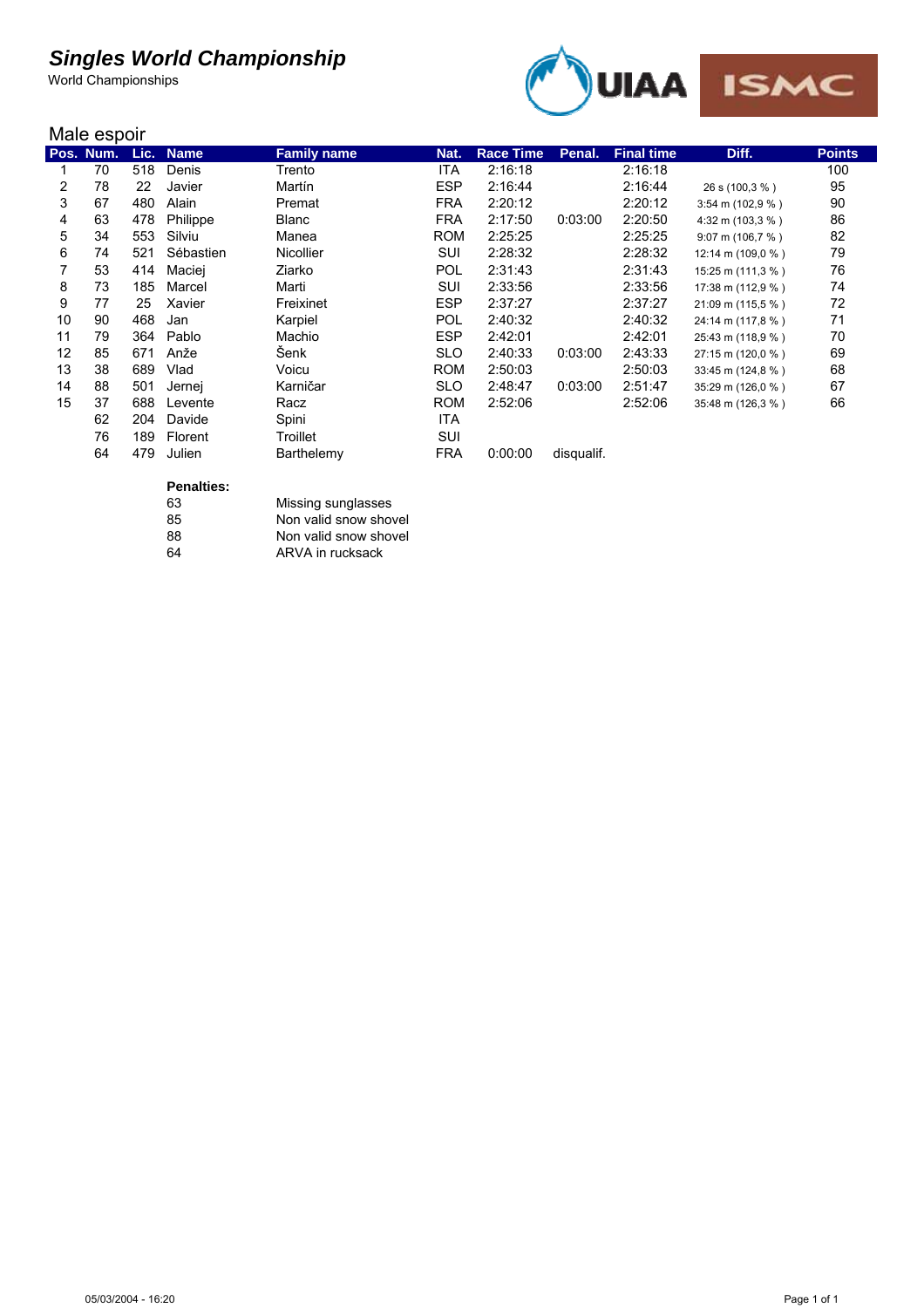World Championships



#### Male espoir

|    | <b>IVIGIC COPUIL</b> |      |             |                    |            |                  |            |                   |                              |               |  |
|----|----------------------|------|-------------|--------------------|------------|------------------|------------|-------------------|------------------------------|---------------|--|
|    | Pos. Num.            | Lic. | <b>Name</b> | <b>Family name</b> | Nat.       | <b>Race Time</b> | Penal.     | <b>Final time</b> | Diff.                        | <b>Points</b> |  |
|    | 70                   | 518  | Denis       | Trento             | <b>ITA</b> | 2:16:18          |            | 2:16:18           |                              | 100           |  |
| 2  | 78                   | 22   | Javier      | Martín             | <b>ESP</b> | 2:16:44          |            | 2:16:44           | 26 s (100,3 %)               | 95            |  |
| 3  | 67                   | 480  | Alain       | Premat             | <b>FRA</b> | 2:20:12          |            | 2:20:12           | $3:54 \text{ m} (102.9 \% )$ | 90            |  |
| 4  | 63                   | 478  | Philippe    | Blanc              | <b>FRA</b> | 2:17:50          | 0:03:00    | 2:20:50           | 4:32 m (103,3 %)             | 86            |  |
| 5  | 34                   | 553  | Silviu      | Manea              | <b>ROM</b> | 2:25:25          |            | 2:25:25           | 9:07 m (106,7 %)             | 82            |  |
| 6  | 74                   | 521  | Sébastien   | <b>Nicollier</b>   | SUI        | 2:28:32          |            | 2:28:32           | 12:14 m (109,0 %)            | 79            |  |
| 7  | 53                   | 414  | Maciej      | Ziarko             | <b>POL</b> | 2:31:43          |            | 2:31:43           | 15:25 m (111,3 %)            | 76            |  |
| 8  | 73                   | 185  | Marcel      | Marti              | SUI        | 2:33:56          |            | 2:33:56           | 17:38 m (112,9 %)            | 74            |  |
| 9  | 77                   | 25   | Xavier      | Freixinet          | <b>ESP</b> | 2:37:27          |            | 2:37:27           | 21:09 m (115,5 %)            | 72            |  |
| 10 | 90                   | 468  | Jan         | Karpiel            | <b>POL</b> | 2:40:32          |            | 2:40:32           | 24:14 m (117,8 %)            | 71            |  |
| 11 | 79                   | 364  | Pablo       | Machio             | <b>ESP</b> | 2:42:01          |            | 2:42:01           | 25:43 m (118,9 %)            | 70            |  |
| 12 | 85                   | 671  | Anže        | Šenk               | <b>SLO</b> | 2:40:33          | 0:03:00    | 2:43:33           | 27:15 m (120,0 %)            | 69            |  |
| 13 | 38                   | 689  | Vlad        | Voicu              | <b>ROM</b> | 2:50:03          |            | 2:50:03           | 33:45 m (124,8 %)            | 68            |  |
| 14 | 88                   | 501  | Jernej      | Karničar           | <b>SLO</b> | 2:48:47          | 0:03:00    | 2:51:47           | 35:29 m (126,0 %)            | 67            |  |
| 15 | 37                   | 688  | Levente     | Racz               | <b>ROM</b> | 2:52:06          |            | 2:52:06           | 35:48 m (126,3 %)            | 66            |  |
|    | 62                   | 204  | Davide      | Spini              | ITA.       |                  |            |                   |                              |               |  |
|    | 76                   | 189  | Florent     | Troillet           | <b>SUI</b> |                  |            |                   |                              |               |  |
|    | 64                   | 479  | Julien      | Barthelemy         | <b>FRA</b> | 0:00:00          | disqualif. |                   |                              |               |  |

### **Penalties:**

| Penanies: |                       |
|-----------|-----------------------|
| 63        | Missing sunglasses    |
| 85        | Non valid snow shovel |
| 88        | Non valid snow shovel |
| 64        | ARVA in rucksack      |